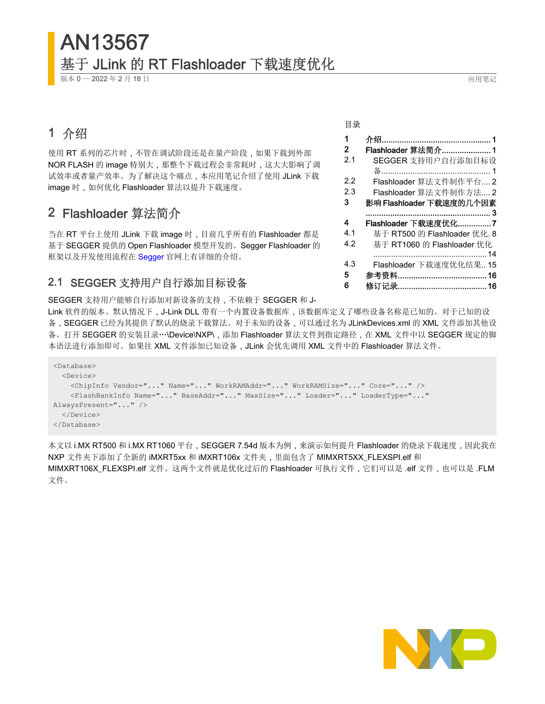基于 JLink 的 RT Flashloader 下载速度优化

版本 0 - 2022 年 2 月 18 日 2022 年 2 月 18 日 2022 年 2 月 18 日 2022 年 2 月 18 日 2022 年 2 月 18 日 2022 年 2 月 2022 年 2 月 2022 年 2 月 2022 年 2 月 2022 年 2 月 2022 年 2 月 2022 年 2 月 2022 年 2 月 2022 年 2 月 2022 年 2 月 2022 年 2 月 2022 年 2 月 202

AN13567

## 1 介绍

使用 RT 系列的芯片时,不管在调试阶段还是在量产阶段,如果下载到外部 NOR FLASH 的 image 特别大,那整个下载过程会非常耗时,这大大影响了调 试效率或者量产效率。为了解决这个痛点,本应用笔记介绍了使用 JLink 下载 image 时, 如何优化 Flashloader 算法以提升下载速度。

### 2 Flashloader 算法简介

当在 RT 平台上使用 JLink 下载 image 时,目前几乎所有的 Flashloader 都是 基于 SEGGER 提供的 Open Flashloader 模型开发的。Segger Flashloader 的 框架以及开发使用流程在 [Segger](https://www.segger.com/) 官网上有详细的介绍。

### 2.1 SEGGER 支持用户自行添加目标设备

SEGGER 支持用户能够自行添加对新设备的支持,不依赖于 SEGGER 和 J-

Link 软件的版本。默认情况下,J-Link DLL 带有一个内置设备数据库,该数据库定义了哪些设备名称是已知的。对于已知的设 备, SEGGER 已经为其提供了默认的烧录下载算法。对于未知的设备, 可以通过名为 JLinkDevices.xml 的 XML 文件添加其他设 备。打开 SEGGER 的安装目录…\Device\NXP\,添加 Flashloader 算法文件到指定路径,在 XML 文件中以 SEGGER 规定的脚 本语法进行添加即可。如果往 XML 文件添加已知设备,JLink 会优先调用 XML 文件中的 Flashloader 算法文件。

```
<Database>
   <Device>
    <ChipInfo Vendor="..." Name="..." WorkRAMAddr="..." WorkRAMSize="..." Core="..." />
     <FlashBankInfo Name="..." BaseAddr="..." MaxSize="..." Loader="..." LoaderType="..." 
AlwaysPresent="..." />
   </Device>
</Database>
```
本文以 i.MX RT500 和 i.MX RT1060 平台, SEGGER 7.54d 版本为例, 来演示如何提升 Flashloader 的烧录下载速度, 因此我在 NXP 文件夹下添加了全新的 iMXRT5xx 和 iMXRT106x 文件夹,里面包含了 MIMXRT5XX\_FLEXSPI.elf 和 MIMXRT106X\_FLEXSPI.elf 文件。这两个文件就是优化过后的 Flashloader 可执行文件,它们可以是 .elf 文件,也可以是 .FLM 文件。



1 介绍................................................. 1 2 Flashloader 算法简介...................... 1 2.1 SEGGER 支持用户自行添加目标设 备................................................. 1 [2.2](#page-1-0) Flashloader [算法文件制作平台](#page-1-0).... 2 [2.3](#page-1-0) Flashloader [算法文件制作方法](#page-1-0).... 2 [3](#page-2-0) 影响 Flashloader [下载速度的几个因素](#page-2-0) [........................................................](#page-2-0) 3 [4](#page-6-0) Flashloader [下载速度优化](#page-6-0)...............7 [4.1](#page-7-0) 基于 RT500 的 [Flashloader](#page-7-0) 优化. 8 [4.2](#page-13-0) 基于 RT1060 的 [Flashloader](#page-13-0) 优化 [...................................................14](#page-13-0) [4.3](#page-14-0) Flashloader [下载速度优化结果](#page-14-0).. 15 [5](#page-15-0) 参考资料[........................................16](#page-15-0) [6](#page-15-0) 修订记录[........................................16](#page-15-0)

#### 目录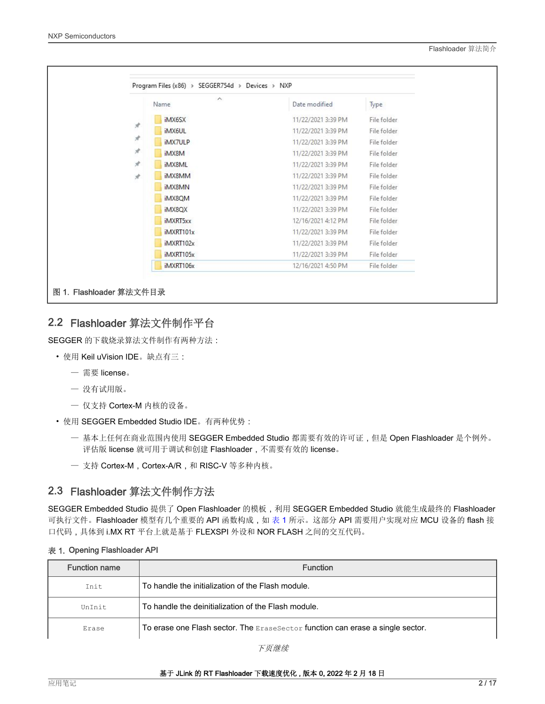<span id="page-1-0"></span>

|               | $\wedge$<br>Name | Date modified      | Type        |
|---------------|------------------|--------------------|-------------|
|               | iMX6SX           | 11/22/2021 3:39 PM | File folder |
| $\mathcal{R}$ | iMX6UL           | 11/22/2021 3:39 PM | File folder |
| $\mathcal{R}$ | iMX7ULP          | 11/22/2021 3:39 PM | File folder |
| À             | iMX8M            | 11/22/2021 3:39 PM | File folder |
| À             | iMX8ML           | 11/22/2021 3:39 PM | File folder |
| À.            | iMX8MM           | 11/22/2021 3:39 PM | File folder |
|               | iMX8MN           | 11/22/2021 3:39 PM | File folder |
|               | iMX8QM           | 11/22/2021 3:39 PM | File folder |
|               | iMX8QX           | 11/22/2021 3:39 PM | File folder |
|               | iMXRT5xx         | 12/16/2021 4:12 PM | File folder |
|               | iMXRT101x        | 11/22/2021 3:39 PM | File folder |
|               | iMXRT102x        | 11/22/2021 3:39 PM | File folder |
|               | iMXRT105x        | 11/22/2021 3:39 PM | File folder |
|               | iMXRT106x        | 12/16/2021 4:50 PM | File folder |

### 2.2 Flashloader 算法文件制作平台

SEGGER 的下载烧录算法文件制作有两种方法:

- 使用 Keil uVision IDE。缺点有三:
	- 需要 license。
	- 没有试用版。
	- 仅支持 Cortex-M 内核的设备。
- 使用 SEGGER Embedded Studio IDE。有两种优势:
	- 基本上任何在商业范围内使用 SEGGER Embedded Studio 都需要有效的许可证,但是 Open Flashloader 是个例外。 评估版 license 就可用于调试和创建 Flashloader,不需要有效的 license。
	- 支持 Cortex-M, Cortex-A/R, 和 RISC-V 等多种内核。

### 2.3 Flashloader 算法文件制作方法

SEGGER Embedded Studio 提供了 Open Flashloader 的模板,利用 SEGGER Embedded Studio 就能生成最终的 Flashloader 可执行文件。Flashloader 模型有几个重要的 API 函数构成,如 表 1 所示。这部分 API 需要用户实现对应 MCU 设备的 flash 接 口代码,具体到 i.MX RT 平台上就是基于 FLEXSPI 外设和 NOR FLASH 之间的交互代码。

|  | 表 1. Opening Flashloader API |
|--|------------------------------|
|  |                              |

| <b>Function name</b> | <b>Function</b>                                                                |
|----------------------|--------------------------------------------------------------------------------|
| Tnit.                | To handle the initialization of the Flash module.                              |
| UnTnit               | To handle the deinitialization of the Flash module.                            |
| Erase                | To erase one Flash sector. The ExaseSector function can erase a single sector. |

下页继续

基于 JLink 的 RT Flashloader 下载速度优化 , 版本 0, 2022 年 2 月 18 日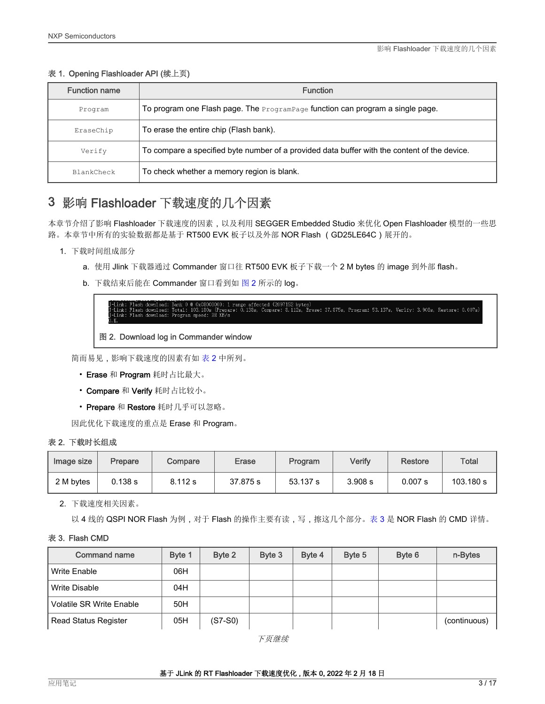### <span id="page-2-0"></span>表 1. Opening Flashloader API (续上页)

| <b>Function name</b> | <b>Function</b>                                                                              |
|----------------------|----------------------------------------------------------------------------------------------|
| Program              | To program one Flash page. The $P_{\text{rogramPage}}$ function can program a single page.   |
| EraseChip            | To erase the entire chip (Flash bank).                                                       |
| Verify               | To compare a specified byte number of a provided data buffer with the content of the device. |
| BlankCheck           | To check whether a memory region is blank.                                                   |

### 3 影响 Flashloader 下载速度的几个因素

本章节介绍了影响 Flashloader 下载速度的因素,以及利用 SEGGER Embedded Studio 来优化 Open Flashloader 模型的一些思 路。本章节中所有的实验数据都是基于 RT500 EVK 板子以及外部 NOR Flash (GD25LE64C)展开的。

- 1. 下载时间组成部分
	- a. 使用 Jlink 下载器通过 Commander 窗口往 RT500 EVK 板子下载一个 2 M bytes 的 image 到外部 flash。
	- b. 下载结束后能在 Commander 窗口看到如 图 2 所示的 log。

d (2097152 bytes*)*<br>mpare: 8.112s, Erase: 37.875s, Program: 53.137s, Verify: 3.908s, Restore: 0.007s)

### 图 2. Download log in Commander window

简而易见,影响下载速度的因素有如 表 2 中所列。

- Erase 和 Program 耗时占比最大。
- Compare 和 Verify 耗时占比较小。
- Prepare 和 Restore 耗时几乎可以忽略。

因此优化下载速度的重点是 Erase 和 Program。

#### 表 2. 下载时长组成

| Image size | Prepare | Compare | <b>Erase</b> | Program  | Verify  | Restore | Total     |
|------------|---------|---------|--------------|----------|---------|---------|-----------|
| 2 M bytes  | 0.138 s | 8.112 s | 37.875 s     | 53.137 s | 3.908 s | 0.007 s | 103.180 s |

2. 下载速度相关因素。

以 4 线的 QSPI NOR Flash 为例, 对于 Flash 的操作主要有读, 写, 擦这几个部分。表 3 是 NOR Flash 的 CMD 详情。

#### 表 3. Flash CMD

| <b>Command name</b>             | Byte 1 | Byte 2    | Byte 3 | Byte 4 | Byte 5 | Byte 6 | n-Bytes      |
|---------------------------------|--------|-----------|--------|--------|--------|--------|--------------|
| Write Enable                    | 06H    |           |        |        |        |        |              |
| Write Disable                   | 04H    |           |        |        |        |        |              |
| <b>Volatile SR Write Enable</b> | 50H    |           |        |        |        |        |              |
| <b>Read Status Register</b>     | 05H    | $(S7-S0)$ |        |        |        |        | (continuous) |

下页继续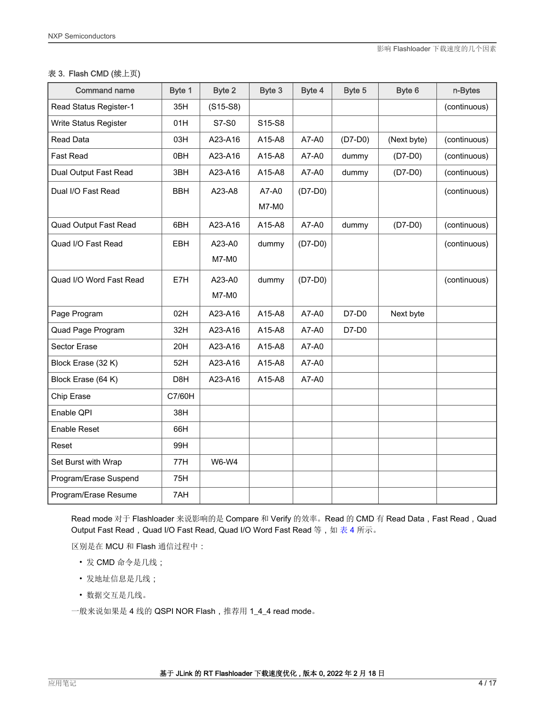### 表 3. Flash CMD (续上页)

| <b>Command name</b>     | Byte 1           | Byte 2     | Byte 3                          | Byte 4    | Byte 5    | Byte 6      | n-Bytes      |
|-------------------------|------------------|------------|---------------------------------|-----------|-----------|-------------|--------------|
| Read Status Register-1  | 35H              | $(S15-S8)$ |                                 |           |           |             | (continuous) |
| Write Status Register   | 01H              | S7-S0      | S <sub>15</sub> -S <sub>8</sub> |           |           |             |              |
| <b>Read Data</b>        | 03H              | A23-A16    | A15-A8                          | A7-A0     | $(D7-D0)$ | (Next byte) | (continuous) |
| Fast Read               | 0BH              | A23-A16    | A15-A8                          | A7-A0     | dummy     | $(D7-D0)$   | (continuous) |
| Dual Output Fast Read   | 3BH              | A23-A16    | A15-A8                          | A7-A0     | dummy     | $(D7-D0)$   | (continuous) |
| Dual I/O Fast Read      | <b>BBH</b>       | A23-A8     | A7-A0<br>M7-M0                  | $(D7-D0)$ |           |             | (continuous) |
|                         |                  |            |                                 |           |           |             |              |
| Quad Output Fast Read   | 6BH              | A23-A16    | A15-A8                          | A7-A0     | dummy     | $(D7-D0)$   | (continuous) |
| Quad I/O Fast Read      | <b>EBH</b>       | A23-A0     | dummy                           | $(D7-D0)$ |           |             | (continuous) |
|                         |                  | M7-M0      |                                 |           |           |             |              |
| Quad I/O Word Fast Read | E7H              | A23-A0     | dummy                           | $(D7-D0)$ |           |             | (continuous) |
|                         |                  | M7-M0      |                                 |           |           |             |              |
| Page Program            | 02H              | A23-A16    | A15-A8                          | A7-A0     | D7-D0     | Next byte   |              |
| Quad Page Program       | 32H              | A23-A16    | A15-A8                          | A7-A0     | D7-D0     |             |              |
| Sector Erase            | 20H              | A23-A16    | A15-A8                          | A7-A0     |           |             |              |
| Block Erase (32 K)      | 52H              | A23-A16    | A15-A8                          | A7-A0     |           |             |              |
| Block Erase (64 K)      | D <sub>8</sub> H | A23-A16    | A15-A8                          | A7-A0     |           |             |              |
| Chip Erase              | C7/60H           |            |                                 |           |           |             |              |
| Enable QPI              | 38H              |            |                                 |           |           |             |              |
| Enable Reset            | 66H              |            |                                 |           |           |             |              |
| Reset                   | 99H              |            |                                 |           |           |             |              |
| Set Burst with Wrap     | 77H              | W6-W4      |                                 |           |           |             |              |
| Program/Erase Suspend   | 75H              |            |                                 |           |           |             |              |
| Program/Erase Resume    | 7AH              |            |                                 |           |           |             |              |

Read mode 对于 Flashloader 来说影响的是 Compare 和 Verify 的效率。Read 的 CMD 有 Read Data, Fast Read, Quad Output Fast Read, Quad I/O Fast Read, Quad I/O Word Fast Read 等, 如 [表](#page-4-0) 4 所示。

区别是在 MCU 和 Flash 通信过程中:

- 发 CMD 命令是几线;
- 发地址信息是几线;
- 数据交互是几线。

一般来说如果是 4 线的 QSPI NOR Flash,推荐用 1\_4\_4 read mode。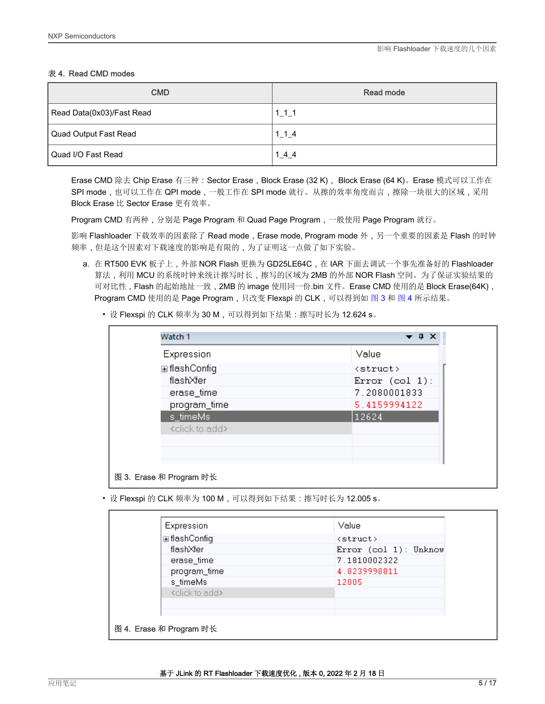### <span id="page-4-0"></span>表 4. Read CMD modes

| <b>CMD</b>                | Read mode           |
|---------------------------|---------------------|
| Read Data(0x03)/Fast Read | $1 \quad 1 \quad 1$ |
| Quad Output Fast Read     | $1 \quad 1 \quad 4$ |
| Quad I/O Fast Read        | 144                 |

Erase CMD 除去 Chip Erase 有三种:Sector Erase,Block Erase (32 K), Block Erase (64 K)。Erase 模式可以工作在 SPI mode,也可以工作在 QPI mode,一般工作在 SPI mode 就行。从擦的效率角度而言,擦除一块很大的区域,采用 Block Erase 比 Sector Erase 更有效率。

Program CMD 有两种,分别是 Page Program 和 Quad Page Program,一般使用 Page Program 就行。

影响 Flashloader 下载效率的因素除了 Read mode, Erase mode, Program mode 外, 另一个重要的因素是 Flash 的时钟 频率,但是这个因素对下载速度的影响是有限的,为了证明这一点做了如下实验。

- a. 在 RT500 EVK 板子上, 外部 NOR Flash 更换为 GD25LE64C, 在 IAR 下面去调试一个事先准备好的 Flashloader 算法,利用 MCU 的系统时钟来统计擦写时长,擦写的区域为 2MB 的外部 NOR Flash 空间。为了保证实验结果的 可对比性,Flash 的起始地址一致,2MB 的 image 使用同一份.bin 文件。Erase CMD 使用的是 Block Erase(64K), Program CMD 使用的是 Page Program,只改变 Flexspi 的 CLK,可以得到如 图 3 和 图 4 所示结果。
	- 设 Flexspi 的 CLK 频率为 30 M, 可以得到如下结果: 擦写时长为 12.624 s。

| Expression                   | Value             |
|------------------------------|-------------------|
| <b>⊞</b> flashConfiq         | <struct></struct> |
| flashXfer                    | Error $(col 1)$ : |
| erase_time                   | 7.2080001833      |
| program_time                 | 5.4159994122      |
| s_timeMs                     | 12624             |
| <click add="" to=""></click> |                   |
|                              |                   |
|                              |                   |

• 设 Flexspi 的 CLK 频率为 100 M, 可以得到如下结果:擦写时长为 12.005 s。

| Expression                   | Value                 |
|------------------------------|-----------------------|
| <b>⊞</b> flashConfiq         | <struct></struct>     |
| flashXfer                    | Error (col 1): Unknow |
| erase_time                   | 7.1810002322          |
| program_time                 | 4.8239998811          |
| s_timeMs                     | 12005                 |
| <click add="" to=""></click> |                       |
|                              |                       |
|                              |                       |
| 图 4. Erase 和 Program 时长      |                       |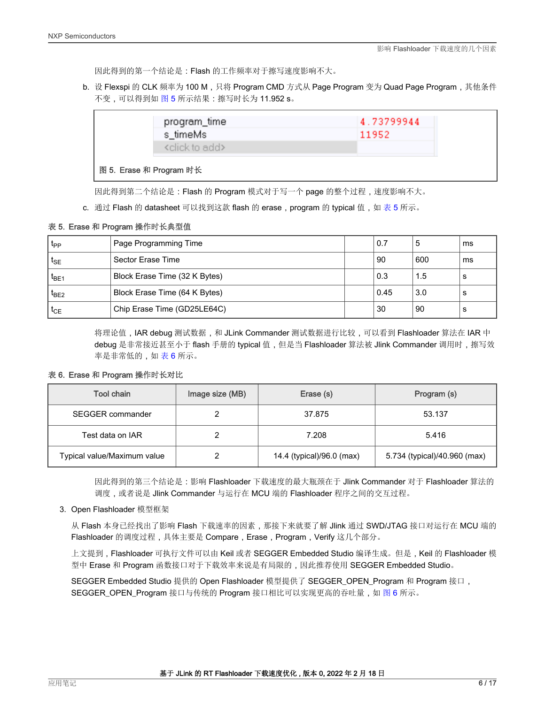因此得到的第一个结论是:Flash 的工作频率对于擦写速度影响不大。

b. 设 Flexspi 的 CLK 频率为 100 M,只将 Program CMD 方式从 Page Program 变为 Quad Page Program,其他条件 不变,可以得到如图 5 所示结果: 擦写时长为 11.952 s。

| program_time                                                                                                                                                                                                                                                                             | 4.73799944 |
|------------------------------------------------------------------------------------------------------------------------------------------------------------------------------------------------------------------------------------------------------------------------------------------|------------|
| s_timeMs                                                                                                                                                                                                                                                                                 | 11952      |
| <click add="" to=""></click>                                                                                                                                                                                                                                                             |            |
| $\mathbb{R}^n$ and $\mathbb{R}^n$ and $\mathbb{R}^n$ and $\mathbb{R}^n$ and $\mathbb{R}^n$ and $\mathbb{R}^n$ and $\mathbb{R}^n$ and $\mathbb{R}^n$ and $\mathbb{R}^n$ and $\mathbb{R}^n$ and $\mathbb{R}^n$ and $\mathbb{R}^n$ and $\mathbb{R}^n$ and $\mathbb{R}^n$ and $\mathbb{R}^n$ |            |

#### 图 5. Erase 和 Program 时长

因此得到第二个结论是:Flash 的 Program 模式对于写一个 page 的整个过程,速度影响不大。

**c**. 通过 Flash 的 datasheet 可以找到这款 flash 的 erase,program 的 typical 值,如 表 5 所示。

### 表 5. Erase 和 Program 操作时长典型值

| t <sub>PP</sub>   | Page Programming Time         | 0.7  | đ   | ms |
|-------------------|-------------------------------|------|-----|----|
| $t_{\mathsf{SE}}$ | Sector Erase Time             | 90   | 600 | ms |
| $t_{BE1}$         | Block Erase Time (32 K Bytes) | 0.3  | 1.5 | s  |
| $t_{BE2}$         | Block Erase Time (64 K Bytes) | 0.45 | 3.0 | s  |
| $t_{CE}$          | Chip Erase Time (GD25LE64C)   | 30   | 90  | s  |

将理论值,IAR debug 测试数据,和 JLink Commander 测试数据进行比较,可以看到 Flashloader 算法在 IAR 中 debug 是非常接近甚至小于 flash 手册的 typical 值,但是当 Flashloader 算法被 Jlink Commander 调用时,擦写效 率是非常低的,如 表 6 所示。

### 表 6. Erase 和 Program 操作时长对比

| Tool chain                  | Image size (MB) | Erase (s)                 | Program (s)                  |
|-----------------------------|-----------------|---------------------------|------------------------------|
| SEGGER commander            |                 | 37.875                    | 53.137                       |
| Test data on IAR            |                 | 7.208                     | 5.416                        |
| Typical value/Maximum value |                 | 14.4 (typical)/96.0 (max) | 5.734 (typical)/40.960 (max) |

因此得到的第三个结论是:影响 Flashloader 下载速度的最大瓶颈在于 Jlink Commander 对于 Flashloader 算法的 调度,或者说是 Jlink Commander 与运行在 MCU 端的 Flashloader 程序之间的交互过程。

#### 3. Open Flashloader 模型框架

从 Flash 本身已经找出了影响 Flash 下载速率的因素,那接下来就要了解 Jlink 通过 SWD/JTAG 接口对运行在 MCU 端的 Flashloader 的调度过程,具体主要是 Compare, Erase, Program, Verify 这几个部分。

上文提到,Flashloader 可执行文件可以由 Keil 或者 SEGGER Embedded Studio 编译生成。但是,Keil 的 Flashloader 模 型中 Erase 和 Program 函数接口对于下载效率来说是有局限的,因此推荐使用 SEGGER Embedded Studio。

SEGGER Embedded Studio 提供的 Open Flashloader 模型提供了 SEGGER\_OPEN\_Program 和 Program 接口, SEGGER\_OPEN\_Program 接口与传统的 Program 接口相比可以实现更高的吞吐量,如 [图](#page-6-0) 6 所示。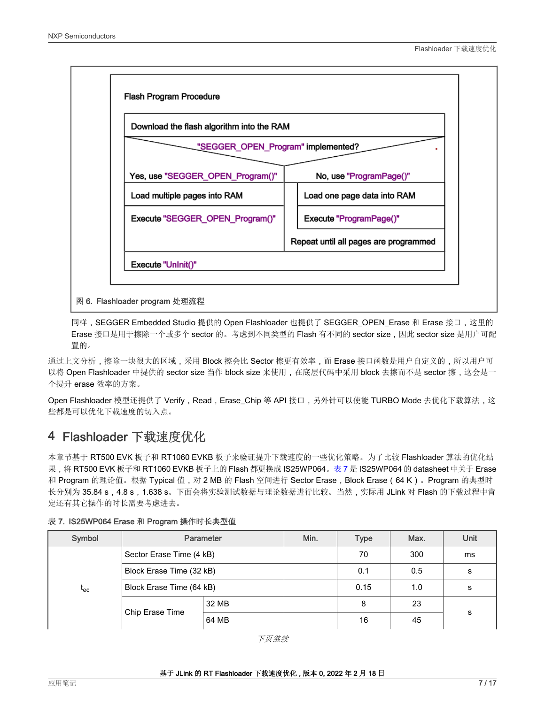<span id="page-6-0"></span>

同样, SEGGER Embedded Studio 提供的 Open Flashloader 也提供了 SEGGER\_OPEN\_Erase 和 Erase 接口,这里的 Erase 接口是用于擦除一个或多个 sector 的。考虑到不同类型的 Flash 有不同的 sector size, 因此 sector size 是用户可配 置的。

通过上文分析,擦除一块很大的区域,采用 Block 擦会比 Sector 擦更有效率,而 Erase 接口函数是用户自定义的,所以用户可 以将 Open Flashloader 中提供的 sector size 当作 block size 来使用,在底层代码中采用 block 去擦而不是 sector 擦,这会是一 个提升 erase 效率的方案。

Open Flashloader 模型还提供了 Verify, Read, Erase\_Chip 等 API 接口, 另外针可以使能 TURBO Mode 去优化下载算法, 这 些都是可以优化下载速度的切入点。

### 4 Flashloader 下载速度优化

本章节基于 RT500 EVK 板子和 RT1060 EVKB 板子来验证提升下载速度的一些优化策略。为了比较 Flashloader 算法的优化结 果,将 RT500 EVK 板子和 RT1060 EVKB 板子上的 Flash 都更换成 IS25WP064。表 7 是 IS25WP064 的 datasheet 中关于 Erase 和 Program 的理论值。根据 Typical 值,对 2 MB 的 Flash 空间进行 Sector Erase,Block Erase(64 K)。Program 的典型时 长分别为 35.84 s,4.8 s,1.638 s。下面会将实验测试数据与理论数据进行比较。当然,实际用 JLink 对 Flash 的下载过程中肯 定还有其它操作的时长需要考虑进去。

| Symbol                       | Parameter                | Min.  | <b>Type</b> | Max. | Unit |    |  |
|------------------------------|--------------------------|-------|-------------|------|------|----|--|
|                              | Sector Erase Time (4 kB) |       |             | 70   | 300  | ms |  |
|                              | Block Erase Time (32 kB) |       |             | 0.1  | 0.5  | s  |  |
| $\mathfrak{t}_{\mathsf{ec}}$ | Block Erase Time (64 kB) |       | 0.15        | 1.0  | s    |    |  |
|                              |                          | 32 MB |             | 8    | 23   | s  |  |
|                              | Chip Erase Time          | 64 MB |             | 16   | 45   |    |  |

### 表 7. IS25WP064 Erase 和 Program 操作时长典型值

下页继续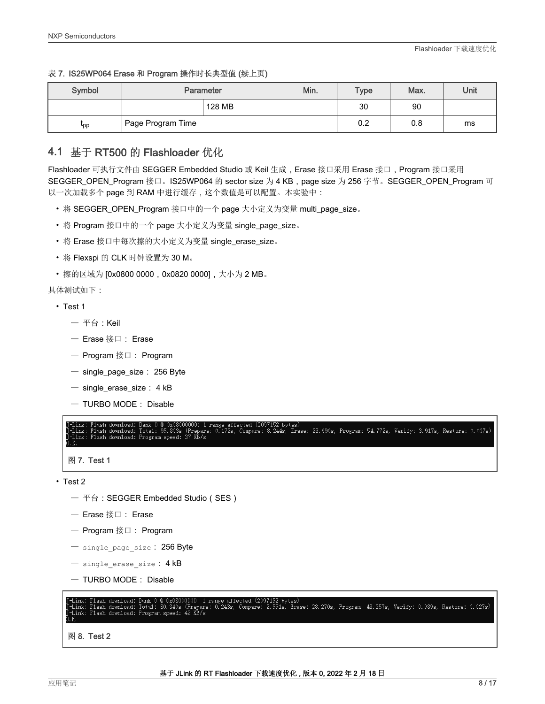### <span id="page-7-0"></span>表 7. IS25WP064 Erase 和 Program 操作时长典型值 (续上页)

| Symbol    | <b>Parameter</b>               | Min.   | <b>Type</b> | Max. | Unit |    |
|-----------|--------------------------------|--------|-------------|------|------|----|
|           |                                | 128 MB |             | 30   | 90   |    |
| <b>pp</b> | <sup>I</sup> Page Program Time |        |             | 0.2  | 0.8  | ms |

### 4.1 基于 RT500 的 Flashloader 优化

Flashloader 可执行文件由 SEGGER Embedded Studio 或 Keil 生成,Erase 接口采用 Erase 接口,Program 接口采用 SEGGER\_OPEN\_Program 接口。IS25WP064 的 sector size 为 4 KB, page size 为 256 字节。SEGGER\_OPEN\_Program 可 以一次加载多个 page 到 RAM 中进行缓存,这个数值是可以配置。本实验中:

- 将 SEGGER\_OPEN\_Program 接口中的一个 page 大小定义为变量 multi\_page\_size。
- 将 Program 接口中的一个 page 大小定义为变量 single\_page\_size。
- 将 Erase 接口中每次擦的大小定义为变量 single\_erase\_size。
- 将 Flexspi 的 CLK 时钟设置为 30 M。
- 擦的区域为 [0x0800 0000, 0x0820 0000], 大小为 2 MB。

具体测试如下:

- Test 1
	- $-$  平台: Keil
	- Erase 接口: Erase
	- Program 接口: Program
	- single\_page\_size: 256 Byte
	- single\_erase\_size: 4 kB
	- TURBO MODE: Disable

ange affected (2097152 bytes)<br>O.172s, Compare: 8.244s, Erase: 28.690s, Program: 54.772s, Verify: 3.917s, Restore: 0.007s) Total: 95, 803s Flash download: Link: Flash download: Program speed: 37 KB/s

图 7. Test 1

- Test 2
	- 平台:SEGGER Embedded Studio(SES)
	- Erase 接口: Erase
	- Program 接口: Program
	- single\_page\_size: 256 Byte
	- $-$  single erase size: 4 kB
	- TURBO MODE: Disable



图 8. Test 2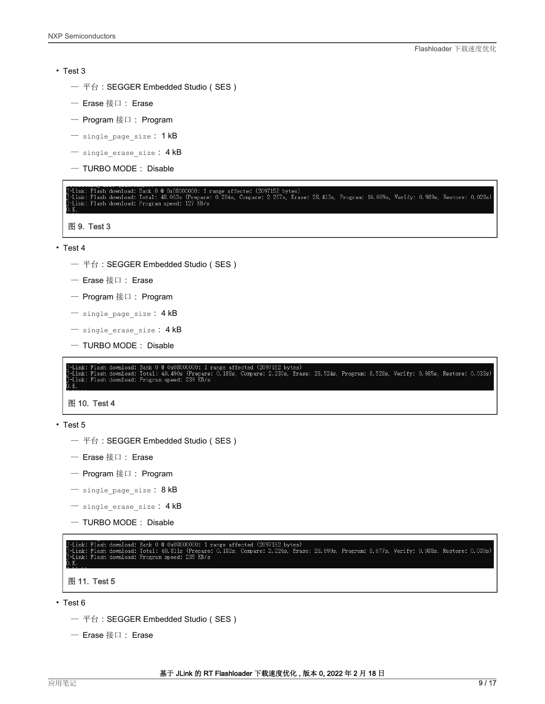#### • Test 3

- 平台:SEGGER Embedded Studio(SES)
- Erase 接口: Erase
- Program 接口: Program
- $-$  single page size: 1 kB
- $-$  single erase size: 4 kB
- TURBO MODE: Disable

Link: Flash download: Bank 0 @ 0x08000000: 1 range affected (2097152 bytes)<br>Link: Flash download: Total: 48.063s (Prepare: 0.284s, Compare: 2.257s, Erase: 28.413s, Program: 16.089s, Verify: 0.989s, Restore: 0.028s)<br>Link: F

图 9. Test 3

- Test 4
	- 平台:SEGGER Embedded Studio(SES)
	- Erase 接口: Erase
	- Program 接口: Program
	- $-$  single page size:  $4 kB$
	- $-$  single erase size: 4 kB
	- TURBO MODE: Disable

Link: Flash download: Bank 0 @ 0x08000000: 1 range affected (2097152 bytes)<br>Link: Flash download: Total: 40.490s (Prepare: 0.188s, Compare: 2.230s, Erase: 28.524s, Program: 8.528s, Verify: 0.985s, Restore: 0.033s)<br>Link: Fl

图 10. Test 4

• Test 5

- 平台:SEGGER Embedded Studio(SES)
- Erase 接口: Erase
- Program 接口: Program
- $-$  single page size: 8 kB
- $-$  single erase size:  $4$  kB
- TURBO MODE: Disable

-Link: Flash download: Bank 0 @ 0x08000000: 1 range affected (2097152 bytes)<br>-Link: Flash download: Total: 40.811s (Prepare: 0.182s, Compare: 2.224s, Erase: 28.699s, Program: 8.677s, Verify: 0.988s, Restore: 0.039s)<br>-Link: 图 11. Test 5

- Test 6
	- 平台:SEGGER Embedded Studio(SES)
	- Erase 接口: Erase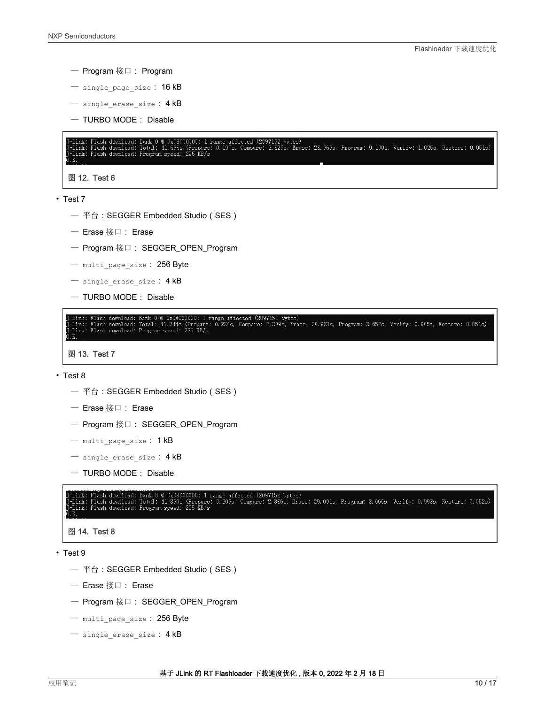- Program 接口: Program
- single\_page\_size: 16 kB
- single erase size: 4 kB
- TURBO MODE: Disable

```
Bank 0 @ 0x08000000: 1 range affected (2097152 bytes)<br>Total: 41.656s (Prepare: 0.190s, Compare: 2.320s, Erase: 28.969s, Program: 9.100s, Verify: 1.025s, Restore: 0.051s)<br>Program speed: 225 KB/s
  ·Link: Flash download:<br>·Link: Flash download:
图 12. Test 6
```

```
• Test 7
```
- 平台: SEGGER Embedded Studio (SES)
- Erase 接口: Erase
- Program 接口: SEGGER\_OPEN\_Program
- multi\_page\_size: 256 Byte
- $-$  single erase size: 4 kB
- TURBO MODE: Disable

Bank 0 @ 0x08000000: 1 range affected (2097152 bytes)<br>Total: 41.244s (Prepare: 0.234s, Compare: 2.339s, Erase: 28.981s, Program: 8.652s, Verify: 0.985s, Restore: 0.051s)<br>Program speed: 236 KB/s Link: Flash download:<br>Link: Flash download:<br>"

图 13. Test 7

#### • Test 8

- 平台:SEGGER Embedded Studio(SES)
- Erase 接口: Erase
- Program 接口: SEGGER\_OPEN\_Program
- multi page size: 1 kB
- $-$  single erase size:  $4$  kB
- TURBO MODE: Disable

Link: Flash download: Bank 0 @ 0x08000000: 1 range affected (2097152 bytes)<br>Link: Flash download: Total: 41.350s (Prepare: 0.209s, Compare: 2.336s, Erase: 29.091s, Program: 8.666s, Verify: 0.993s, Restore: 0.052s)<br>Link: Fl

### 图 14. Test 8

- Test 9
	- 平台:SEGGER Embedded Studio(SES)
	- Erase 接口: Erase
	- Program 接口: SEGGER\_OPEN\_Program
	- multi page size: 256 Byte
	- single erase size: 4 kB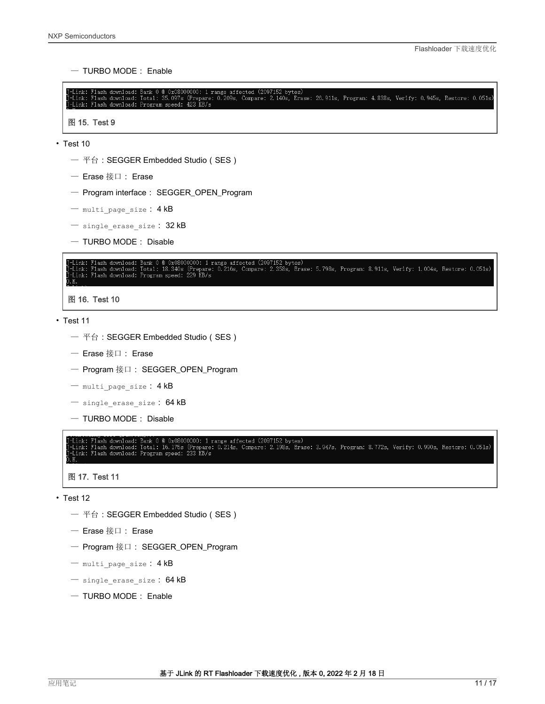— TURBO MODE: Enable

```
J-Link: Flash download: Bank 0 @ 0x08000000: 1 range affected (2097152 bytes)<br>J-Link: Flash download: Total: 35.097s (Prepare: 0.209s, Compare: 2.140s, Erase: 26.911s, Program: 4.838s, Verify: 0.945s, Restore: 0.051s)<br>J-Li
```
图 15. Test 9

- Test 10
	- 平台:SEGGER Embedded Studio(SES)
	- Erase 接口: Erase
	- Program interface: SEGGER\_OPEN\_Program
	- multi\_page\_size: 4 kB
	- $-$  single erase size:  $32$  kB
	- TURBO MODE: Disable



- Test 11
	- 平台:SEGGER Embedded Studio(SES)
	- Erase 接口: Erase
	- Program 接口: SEGGER\_OPEN\_Program
	- $-$  multi page size:  $4 kB$
	- $-$  single erase size: 64 kB
	- TURBO MODE: Disable

Flash download: Bank 0 @ 0x08000000: 1 range affected (2097152 bytes)<br>Flash download: Total: 16.175s (Prepare: 0.214s, Compare: 2.198s, Erase: 3.947s, Program: 8.772s, Verify: 0.990s, Restore: 0.051s)<br>Flash download: Progr

图 17. Test 11

- Test 12
	- 平台:SEGGER Embedded Studio(SES)
	- Erase 接口: Erase
	- Program 接口: SEGGER\_OPEN\_Program
	- $-$  multi page size:  $4 kB$
	- single\_erase\_size: 64 kB
	- TURBO MODE: Enable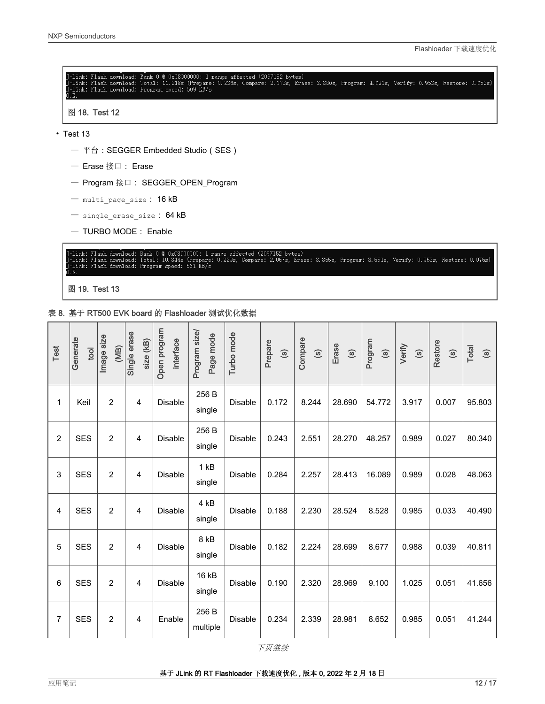<span id="page-11-0"></span>

- $-$  single erase size:  $64$  kB
- TURBO MODE: Enable



图 19. Test 13

表 8. 基于 RT500 EVK board 的 Flashloader 测试优化数据

| Test           | Generate<br>tool | Image size<br>(MB) | Single erase<br>size (kB) | Open program<br>interface | Program size/<br>Page mode | Turbo mode     | Prepare<br>$\odot$ | Compare<br>$\circledS$ | Erase<br>$\circledcirc$ | Program<br>$\odot$ | Verify<br>$\circledS$ | Restore<br>$\circledcirc$ | Total<br>$\circledS$ |
|----------------|------------------|--------------------|---------------------------|---------------------------|----------------------------|----------------|--------------------|------------------------|-------------------------|--------------------|-----------------------|---------------------------|----------------------|
| 1              | Keil             | $\overline{2}$     | 4                         | <b>Disable</b>            | 256 B<br>single            | <b>Disable</b> | 0.172              | 8.244                  | 28.690                  | 54.772             | 3.917                 | 0.007                     | 95.803               |
| $\overline{c}$ | <b>SES</b>       | $\overline{2}$     | 4                         | <b>Disable</b>            | 256 B<br>single            | <b>Disable</b> | 0.243              | 2.551                  | 28.270                  | 48.257             | 0.989                 | 0.027                     | 80.340               |
| 3              | <b>SES</b>       | $\overline{2}$     | $\overline{4}$            | <b>Disable</b>            | 1 kB<br>single             | <b>Disable</b> | 0.284              | 2.257                  | 28.413                  | 16.089             | 0.989                 | 0.028                     | 48.063               |
| 4              | <b>SES</b>       | $\overline{2}$     | $\overline{4}$            | <b>Disable</b>            | 4 kB<br>single             | <b>Disable</b> | 0.188              | 2.230                  | 28.524                  | 8.528              | 0.985                 | 0.033                     | 40.490               |
| 5              | <b>SES</b>       | $\overline{2}$     | 4                         | <b>Disable</b>            | 8 kB<br>single             | <b>Disable</b> | 0.182              | 2.224                  | 28.699                  | 8.677              | 0.988                 | 0.039                     | 40.811               |
| 6              | <b>SES</b>       | $\overline{2}$     | 4                         | <b>Disable</b>            | 16 kB<br>single            | <b>Disable</b> | 0.190              | 2.320                  | 28.969                  | 9.100              | 1.025                 | 0.051                     | 41.656               |
| 7              | <b>SES</b>       | $\overline{2}$     | 4                         | Enable                    | 256 B<br>multiple          | <b>Disable</b> | 0.234              | 2.339                  | 28.981                  | 8.652              | 0.985                 | 0.051                     | 41.244               |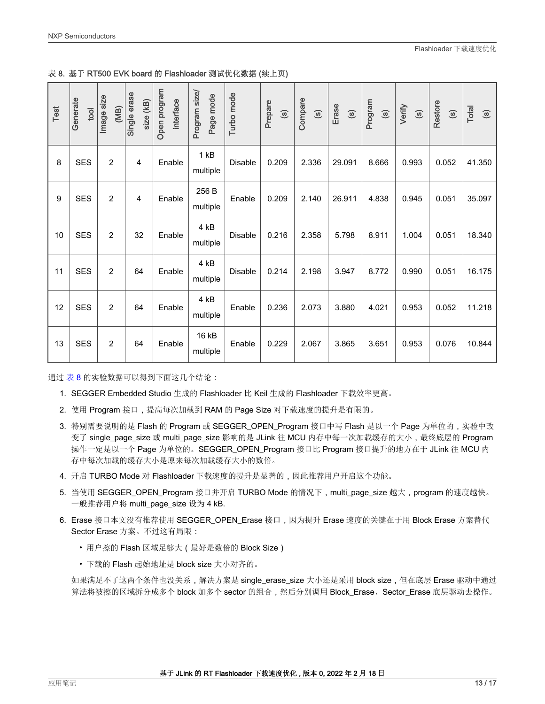|  |  |  |  |  | 表 8. 基于 RT500 EVK board 的 Flashloader 测试优化数据 (续上页) |  |
|--|--|--|--|--|----------------------------------------------------|--|
|--|--|--|--|--|----------------------------------------------------|--|

| Test | Generate<br>tool | Image size<br>(MB) | Single erase<br>size (kB) | Open program<br>interface | Program size/<br>Page mode | Turbo mode     | Prepare<br>$\circledS$ | Compare<br>$\odot$ | Erase<br>$\odot$ | Program<br>$\circledcirc$ | Verify<br>$\circledS$ | Restore<br>$\odot$ | Total<br>$\odot$ |
|------|------------------|--------------------|---------------------------|---------------------------|----------------------------|----------------|------------------------|--------------------|------------------|---------------------------|-----------------------|--------------------|------------------|
| 8    | <b>SES</b>       | $\overline{2}$     | $\overline{4}$            | Enable                    | 1kB<br>multiple            | <b>Disable</b> | 0.209                  | 2.336              | 29.091           | 8.666                     | 0.993                 | 0.052              | 41.350           |
| 9    | <b>SES</b>       | $\overline{2}$     | $\overline{4}$            | Enable                    | 256 B<br>multiple          | Enable         | 0.209                  | 2.140              | 26.911           | 4.838                     | 0.945                 | 0.051              | 35.097           |
| 10   | <b>SES</b>       | $\overline{2}$     | 32                        | Enable                    | 4 kB<br>multiple           | Disable        | 0.216                  | 2.358              | 5.798            | 8.911                     | 1.004                 | 0.051              | 18.340           |
| 11   | <b>SES</b>       | $\overline{2}$     | 64                        | Enable                    | 4 kB<br>multiple           | <b>Disable</b> | 0.214                  | 2.198              | 3.947            | 8.772                     | 0.990                 | 0.051              | 16.175           |
| 12   | <b>SES</b>       | $\overline{2}$     | 64                        | Enable                    | 4 kB<br>multiple           | Enable         | 0.236                  | 2.073              | 3.880            | 4.021                     | 0.953                 | 0.052              | 11.218           |
| 13   | <b>SES</b>       | $\overline{2}$     | 64                        | Enable                    | 16 kB<br>multiple          | Enable         | 0.229                  | 2.067              | 3.865            | 3.651                     | 0.953                 | 0.076              | 10.844           |

通过[表](#page-11-0) 8 的实验数据可以得到下面这几个结论:

- 1. SEGGER Embedded Studio 生成的 Flashloader 比 Keil 生成的 Flashloader 下载效率更高。
- 2. 使用 Program 接口,提高每次加载到 RAM 的 Page Size 对下载速度的提升是有限的。
- 3. 特别需要说明的是 Flash 的 Program 或 SEGGER\_OPEN\_Program 接口中写 Flash 是以一个 Page 为单位的,实验中改 变了 single\_page\_size 或 multi\_page\_size 影响的是 JLink 往 MCU 内存中每一次加载缓存的大小,最终底层的 Program 操作一定是以一个 Page 为单位的。SEGGER\_OPEN\_Program 接口比 Program 接口提升的地方在于 JLink 往 MCU 内 存中每次加载的缓存大小是原来每次加载缓存大小的数倍。
- 4. 开启 TURBO Mode 对 Flashloader 下载速度的提升是显著的,因此推荐用户开启这个功能。
- 5. 当使用 SEGGER\_OPEN\_Program 接口并开启 TURBO Mode 的情况下, multi\_page\_size 越大, program 的速度越快。 一般推荐用户将 multi\_page\_size 设为 4 kB.
- 6. Erase 接口本文没有推荐使用 SEGGER\_OPEN\_Erase 接口, 因为提升 Erase 速度的关键在于用 Block Erase 方案替代 Sector Erase 方案。不过这有局限:
	- 用户擦的 Flash 区域足够大(最好是数倍的 Block Size)
	- 下载的 Flash 起始地址是 block size 大小对齐的。

如果满足不了这两个条件也没关系,解决方案是 single\_erase\_size 大小还是采用 block size, 但在底层 Erase 驱动中通过 算法将被擦的区域拆分成多个 block 加多个 sector 的组合,然后分别调用 Block\_Erase、Sector\_Erase 底层驱动去操作。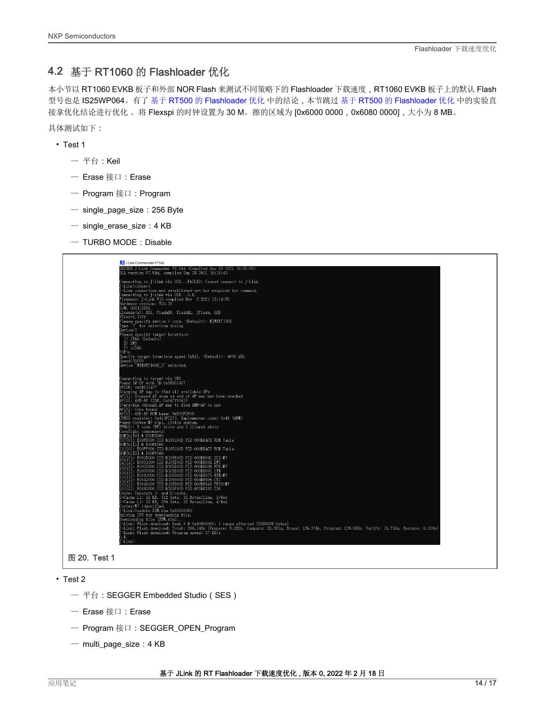### <span id="page-13-0"></span>4.2 基于 RT1060 的 Flashloader 优化

本小节以 RT1060 EVKB 板子和外部 NOR Flash 来测试不同策略下的 Flashloader 下载速度, RT1060 EVKB 板子上的默认 Flash 型号也是 IS25WP064。有了基于 RT500 的 [Flashloader](#page-7-0) 优化 中的结论,本节跳过 基于 RT500 的 Flashloader 优化 中的实验直 接拿优化结论进行优化 。将 Flexspi 的时钟设置为 30 M。擦的区域为 [0x6000 0000,0x6080 0000],大小为 8 MB。

- 具体测试如下:
	- Test 1
		- $-$  平台: Keil
		- Erase 接口:Erase
		- Program 接口:Program
		- single\_page\_size:256 Byte
		- $-$  single erase size: 4 KB
		- $-$  TURBO MODE : Disable



- Test 2
	- 平台:SEGGER Embedded Studio(SES)
	- Erase 接口:Erase
	- Program 接口:SEGGER\_OPEN\_Program
	- multi\_page\_size:4 KB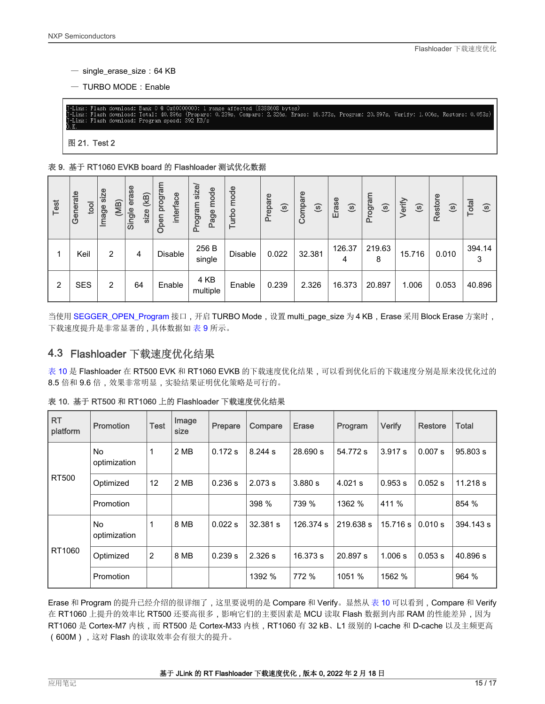- <span id="page-14-0"></span>— single\_erase\_size:64 KB
- $-$  TURBO MODE: Enable

2.326s, Erase: 16.373s, Program: 20.897s, Verify: 1.006s, Restore: 0.053s) Total: 40.896s Flash download:  $KB/s$ Program speed: 392

图 21. Test 2

#### 表 9. 基于 RT1060 EVKB board 的 Flashloader 测试优化数据

| Test | Generate<br>tool | size<br>(MB)<br>Image | erase<br>$\overline{\mathbf{B}}$<br>Single<br>size | program<br><b>interface</b><br>Open | size/<br>mode<br>menbol<br>Page<br>$\mathbf{a}$ | mode<br>Turbo  | Prepare<br>$\odot$ | Compare<br>$\odot$ | Erase<br>$\odot$ | Program<br>$\odot$ | Verify<br>$\odot$ | Restore<br>$\odot$ | Total<br>$\odot$ |
|------|------------------|-----------------------|----------------------------------------------------|-------------------------------------|-------------------------------------------------|----------------|--------------------|--------------------|------------------|--------------------|-------------------|--------------------|------------------|
|      | Keil             | 2                     | 4                                                  | Disable                             | 256 B<br>single                                 | <b>Disable</b> | 0.022              | 32.381             | 126.37<br>4      | 219.63<br>8        | 15.716            | 0.010              | 394.14           |
| 2    | <b>SES</b>       | 2                     | 64                                                 | Enable                              | 4 KB<br>multiple                                | Enable         | 0.239              | 2.326              | 16.373           | 20.897             | 1.006             | 0.053              | 40.896           |

当使用 [SEGGER\\_OPEN\\_Program](https://wiki.segger.com/Open_Flashloader#SEGGER_OPEN_Program) 接口,开启 TURBO Mode,设置 multi\_page\_size 为 4 KB,Erase 采用 Block Erase 方案时, 下载速度提升是非常显著的 , 具体数据如 表 9 所示。

### 4.3 Flashloader 下载速度优化结果

表 10 是 Flashloader 在 RT500 EVK 和 RT1060 EVKB 的下载速度优化结果,可以看到优化后的下载速度分别是原来没优化过的 8.5 倍和 9.6 倍,效果非常明显,实验结果证明优化策略是可行的。

| <b>RT</b><br>platform | <b>Promotion</b>    | <b>Test</b>    | Image<br>size | Prepare | Compare  | Erase     | Program   | <b>Verify</b> | Restore | <b>Total</b> |
|-----------------------|---------------------|----------------|---------------|---------|----------|-----------|-----------|---------------|---------|--------------|
|                       | No<br>optimization  |                | 2 MB          | 0.172 s | 8.244 s  | 28.690 s  | 54.772 s  | 3.917 s       | 0.007 s | 95.803 s     |
| <b>RT500</b>          | Optimized           | 12             | 2 MB          | 0.236 s | 2.073 s  | 3.880 s   | $4.021$ s | 0.953 s       | 0.052 s | 11.218 s     |
|                       | Promotion           |                |               |         | 398 %    | 739 %     | 1362 %    | 411 %         |         | 854 %        |
|                       | No.<br>optimization |                | 8 MB          | 0.022 s | 32.381 s | 126.374 s | 219.638 s | 15.716 s      | 0.010 s | 394.143 s    |
| RT1060                | Optimized           | $\overline{2}$ | 8 MB          | 0.239 s | 2.326 s  | 16.373 s  | 20.897 s  | 1.006 s       | 0.053 s | 40.896 s     |
|                       | Promotion           |                |               |         | 1392 %   | 772 %     | 1051 %    | 1562 %        |         | 964 %        |

表 10. 基于 RT500 和 RT1060 上的 Flashloader 下载速度优化结果

Erase 和 Program 的提升已经介绍的很详细了,这里要说明的是 Compare 和 Verify。显然从 表 10 可以看到,Compare 和 Verify 在 RT1060 上提升的效率比 RT500 还要高很多,影响它们的主要因素是 MCU 读取 Flash 数据到内部 RAM 的性能差异,因为 RT1060 是 Cortex-M7 内核,而 RT500 是 Cortex-M33 内核,RT1060 有 32 kB、L1 级别的 I-cache 和 D-cache 以及主频更高 (600M),这对 Flash 的读取效率会有很大的提升。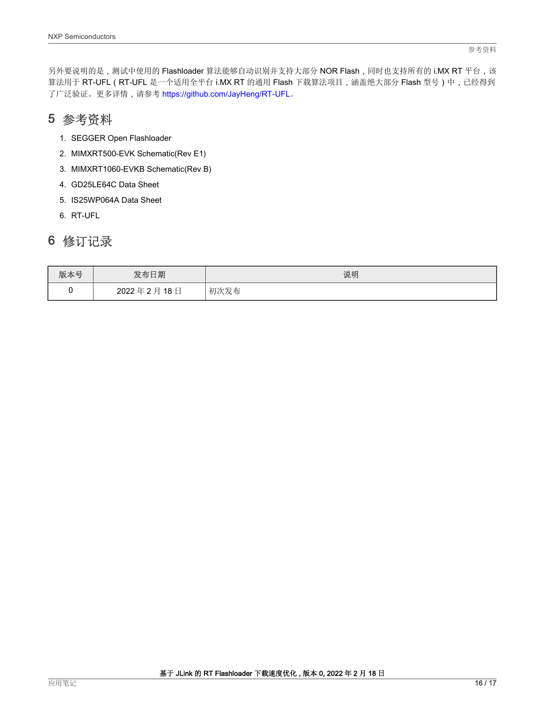### <span id="page-15-0"></span>5 参考资料

- 1. SEGGER Open Flashloader
- 2. MIMXRT500-EVK Schematic(Rev E1)
- 3. MIMXRT1060-EVKB Schematic(Rev B)
- 4. GD25LE64C Data Sheet
- 5. IS25WP064A Data Sheet
- 6. RT-UFL

### 6 修订记录

| 版本号 | 发布日期                      | 说明   |
|-----|---------------------------|------|
|     | 2022年2月<br>18 $\boxminus$ | 初次发布 |

参考资料